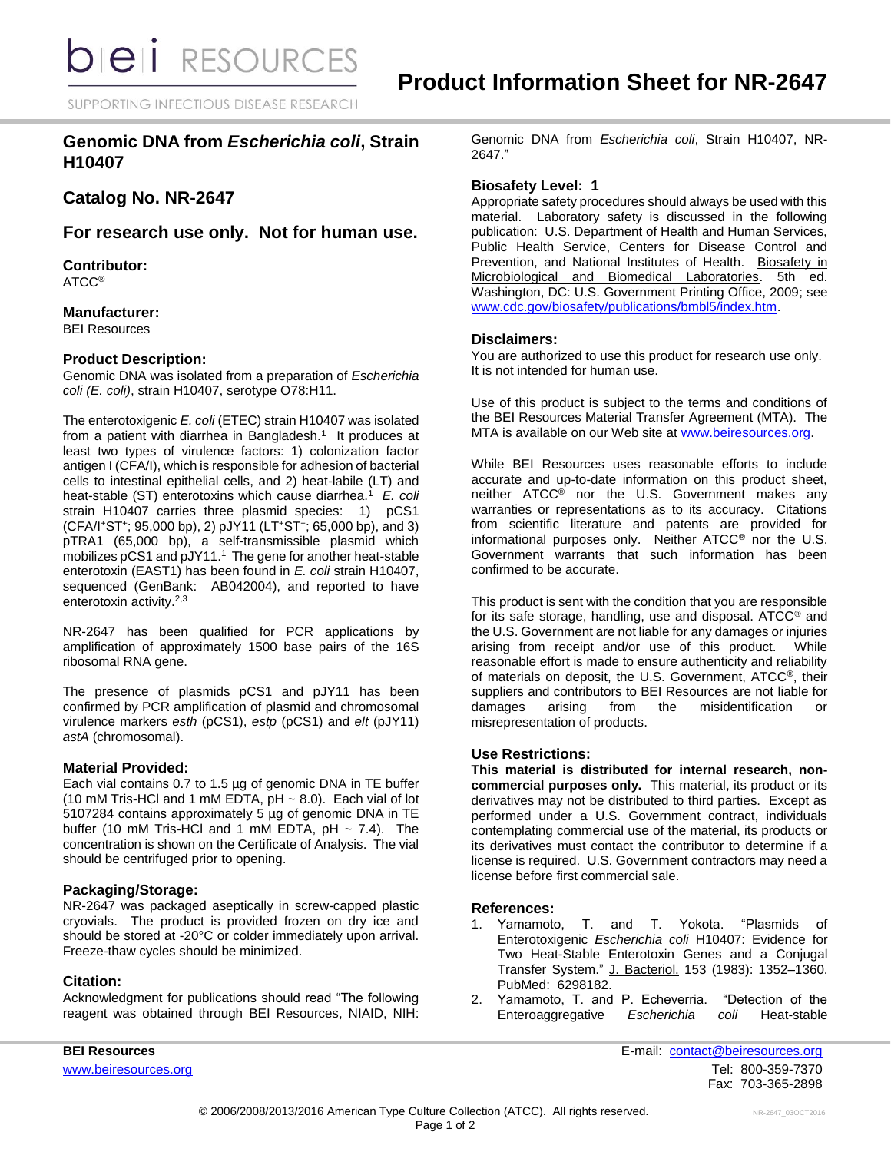SUPPORTING INFECTIOUS DISEASE RESEARCH

## **Genomic DNA from** *Escherichia coli***, Strain H10407**

# **Catalog No. NR-2647**

**For research use only. Not for human use.**

**Contributor:** ATCC®

**Manufacturer:** BEI Resources

### **Product Description:**

Genomic DNA was isolated from a preparation of *Escherichia coli (E. coli)*, strain H10407, serotype O78:H11.

The enterotoxigenic *E. coli* (ETEC) strain H10407 was isolated from a patient with diarrhea in Bangladesh.<sup>1</sup> It produces at least two types of virulence factors: 1) colonization factor antigen I (CFA/I), which is responsible for adhesion of bacterial cells to intestinal epithelial cells, and 2) heat-labile (LT) and heat-stable (ST) enterotoxins which cause diarrhea.<sup>1</sup> E. coli strain H10407 carries three plasmid species: 1) pCS1 (CFA/I<sup>+</sup>ST<sup>+</sup> ; 95,000 bp), 2) pJY11 (LT<sup>+</sup>ST<sup>+</sup> ; 65,000 bp), and 3) pTRA1 (65,000 bp), a self-transmissible plasmid which mobilizes pCS1 and pJY11. <sup>1</sup> The gene for another heat-stable enterotoxin (EAST1) has been found in *E. coli* strain H10407, sequenced (GenBank: AB042004), and reported to have enterotoxin activity.<sup>2,3</sup>

NR-2647 has been qualified for PCR applications by amplification of approximately 1500 base pairs of the 16S ribosomal RNA gene.

The presence of plasmids pCS1 and pJY11 has been confirmed by PCR amplification of plasmid and chromosomal virulence markers *esth* (pCS1), *estp* (pCS1) and *elt* (pJY11) *astA* (chromosomal).

### **Material Provided:**

Each vial contains 0.7 to 1.5 µg of genomic DNA in TE buffer (10 mM Tris-HCl and 1 mM EDTA,  $pH \sim 8.0$ ). Each vial of lot 5107284 contains approximately 5 µg of genomic DNA in TE buffer (10 mM Tris-HCl and 1 mM EDTA,  $pH \sim 7.4$ ). The concentration is shown on the Certificate of Analysis. The vial should be centrifuged prior to opening.

### **Packaging/Storage:**

NR-2647 was packaged aseptically in screw-capped plastic cryovials. The product is provided frozen on dry ice and should be stored at -20°C or colder immediately upon arrival. Freeze-thaw cycles should be minimized.

### **Citation:**

Acknowledgment for publications should read "The following reagent was obtained through BEI Resources, NIAID, NIH: Genomic DNA from *Escherichia coli*, Strain H10407, NR-2647."

### **Biosafety Level: 1**

Appropriate safety procedures should always be used with this material. Laboratory safety is discussed in the following publication: U.S. Department of Health and Human Services, Public Health Service, Centers for Disease Control and Prevention, and National Institutes of Health. Biosafety in Microbiological and Biomedical Laboratories. 5th ed. Washington, DC: U.S. Government Printing Office, 2009; see [www.cdc.gov/biosafety/publications/bmbl5/index.htm.](http://www.cdc.gov/biosafety/publications/bmbl5/index.htm)

### **Disclaimers:**

You are authorized to use this product for research use only. It is not intended for human use.

Use of this product is subject to the terms and conditions of the BEI Resources Material Transfer Agreement (MTA). The MTA is available on our Web site at [www.beiresources.org.](http://www.beiresources.org/)

While BEI Resources uses reasonable efforts to include accurate and up-to-date information on this product sheet, neither ATCC® nor the U.S. Government makes any warranties or representations as to its accuracy. Citations from scientific literature and patents are provided for informational purposes only. Neither ATCC® nor the U.S. Government warrants that such information has been confirmed to be accurate.

This product is sent with the condition that you are responsible for its safe storage, handling, use and disposal. ATCC® and the U.S. Government are not liable for any damages or injuries arising from receipt and/or use of this product. While reasonable effort is made to ensure authenticity and reliability of materials on deposit, the U.S. Government, ATCC®, their suppliers and contributors to BEI Resources are not liable for damages arising from the misidentification misrepresentation of products.

### **Use Restrictions:**

**This material is distributed for internal research, noncommercial purposes only.** This material, its product or its derivatives may not be distributed to third parties. Except as performed under a U.S. Government contract, individuals contemplating commercial use of the material, its products or its derivatives must contact the contributor to determine if a license is required. U.S. Government contractors may need a license before first commercial sale.

#### **References:**

- 1. Yamamoto, T. and T. Yokota. "Plasmids of Enterotoxigenic *Escherichia coli* H10407: Evidence for Two Heat-Stable Enterotoxin Genes and a Conjugal Transfer System." J. Bacteriol. 153 (1983): 1352–1360. PubMed: 6298182.
- 2. Yamamoto, T. and P. Echeverria. "Detection of the Enteroaggregative *Escherichia coli* Heat-stable

**BEI Resources** E-mail: contact@beiresources.org [www.beiresources.org](http://www.beiresources.org/) **Tel:** 800-359-7370 Fax: 703-365-2898